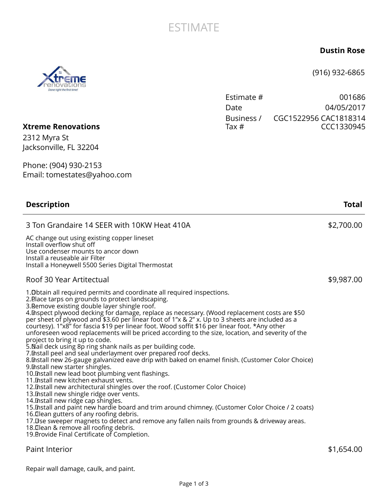## **ESTIMATE**

## **Dustin Rose**

(916) 932-6865

| Estimate # | 001686                |
|------------|-----------------------|
| Date.      | 04/05/2017            |
| Business / | CGC1522956 CAC1818314 |
| Tax #      | CCC1330945            |

## **Xtreme Renovations**

2312 Myra St Jacksonville, FL 32204

Phone: (904) 930-2153 Email: tomestates@yahoo.com

| <b>Description</b>                                                                                                                                                                                                                                                                                                                                                                                                                                                                                                                                                                                                                                                                                                                                                                                                                                                                                                                                                                                                                                                                                                                                                                                                                                                                                                                                                                                                                                                                                                     | Total      |
|------------------------------------------------------------------------------------------------------------------------------------------------------------------------------------------------------------------------------------------------------------------------------------------------------------------------------------------------------------------------------------------------------------------------------------------------------------------------------------------------------------------------------------------------------------------------------------------------------------------------------------------------------------------------------------------------------------------------------------------------------------------------------------------------------------------------------------------------------------------------------------------------------------------------------------------------------------------------------------------------------------------------------------------------------------------------------------------------------------------------------------------------------------------------------------------------------------------------------------------------------------------------------------------------------------------------------------------------------------------------------------------------------------------------------------------------------------------------------------------------------------------------|------------|
| 3 Ton Grandaire 14 SEER with 10KW Heat 410A                                                                                                                                                                                                                                                                                                                                                                                                                                                                                                                                                                                                                                                                                                                                                                                                                                                                                                                                                                                                                                                                                                                                                                                                                                                                                                                                                                                                                                                                            | \$2,700.00 |
| AC change out using existing copper lineset<br>Install overflow shut off<br>Use condenser mounts to ancor down<br>Install a reuseable air Filter<br>Install a Honeywell 5500 Series Digital Thermostat                                                                                                                                                                                                                                                                                                                                                                                                                                                                                                                                                                                                                                                                                                                                                                                                                                                                                                                                                                                                                                                                                                                                                                                                                                                                                                                 |            |
| Roof 30 Year Artitectual                                                                                                                                                                                                                                                                                                                                                                                                                                                                                                                                                                                                                                                                                                                                                                                                                                                                                                                                                                                                                                                                                                                                                                                                                                                                                                                                                                                                                                                                                               | \$9,987.00 |
| 1. Obtain all required permits and coordinate all required inspections.<br>2. Blace tarps on grounds to protect landscaping.<br>3. Remove existing double layer shingle roof.<br>4. Inspect plywood decking for damage, replace as necessary. (Wood replacement costs are \$50<br>per sheet of plywood and \$3.60 per linear foot of 1"x & 2" x. Up to 3 sheets are included as a<br>courtesy). 1"x8" for fascia \$19 per linear foot. Wood soffit \$16 per linear foot. *Any other<br>unforeseen wood replacements will be priced according to the size, location, and severity of the<br>project to bring it up to code.<br>5. Nail deck using 8p ring shank nails as per building code.<br>7. Install peel and seal underlayment over prepared roof decks.<br>8. Install new 26-gauge galvanized eave drip with baked on enamel finish. (Customer Color Choice)<br>9. Install new starter shingles.<br>10. Install new lead boot plumbing vent flashings.<br>11. Install new kitchen exhaust vents.<br>12. Install new architectural shingles over the roof. (Customer Color Choice)<br>13. Install new shingle ridge over vents.<br>14. Install new ridge cap shingles.<br>15. Install and paint new hardie board and trim around chimney. (Customer Color Choice / 2 coats)<br>16. Ilean gutters of any roofing debris.<br>17. Use sweeper magnets to detect and remove any fallen nails from grounds & driveway areas.<br>18. Ilean & remove all roofing debris.<br>19. Brovide Final Certificate of Completion. |            |
| <b>Paint Interior</b>                                                                                                                                                                                                                                                                                                                                                                                                                                                                                                                                                                                                                                                                                                                                                                                                                                                                                                                                                                                                                                                                                                                                                                                                                                                                                                                                                                                                                                                                                                  | \$1,654.00 |

Repair wall damage, caulk, and paint.

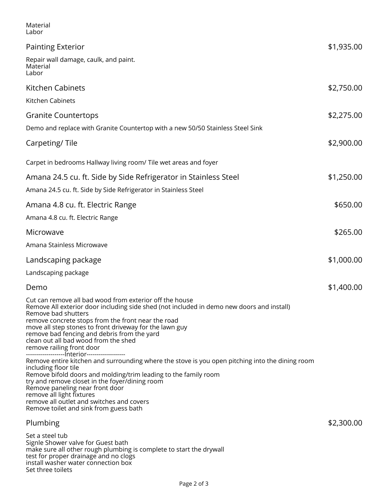| Material<br>Labor                                                                                                                                                                                                                                                                                                                                                                                                                                      |            |
|--------------------------------------------------------------------------------------------------------------------------------------------------------------------------------------------------------------------------------------------------------------------------------------------------------------------------------------------------------------------------------------------------------------------------------------------------------|------------|
| <b>Painting Exterior</b>                                                                                                                                                                                                                                                                                                                                                                                                                               | \$1,935.00 |
| Repair wall damage, caulk, and paint.<br>Material<br>Labor                                                                                                                                                                                                                                                                                                                                                                                             |            |
| Kitchen Cabinets                                                                                                                                                                                                                                                                                                                                                                                                                                       | \$2,750.00 |
| Kitchen Cabinets                                                                                                                                                                                                                                                                                                                                                                                                                                       |            |
| <b>Granite Countertops</b>                                                                                                                                                                                                                                                                                                                                                                                                                             | \$2,275.00 |
| Demo and replace with Granite Countertop with a new 50/50 Stainless Steel Sink                                                                                                                                                                                                                                                                                                                                                                         |            |
| Carpeting/Tile                                                                                                                                                                                                                                                                                                                                                                                                                                         | \$2,900.00 |
| Carpet in bedrooms Hallway living room/ Tile wet areas and foyer                                                                                                                                                                                                                                                                                                                                                                                       |            |
| Amana 24.5 cu. ft. Side by Side Refrigerator in Stainless Steel                                                                                                                                                                                                                                                                                                                                                                                        | \$1,250.00 |
| Amana 24.5 cu. ft. Side by Side Refrigerator in Stainless Steel                                                                                                                                                                                                                                                                                                                                                                                        |            |
| Amana 4.8 cu. ft. Electric Range                                                                                                                                                                                                                                                                                                                                                                                                                       | \$650.00   |
| Amana 4.8 cu. ft. Electric Range                                                                                                                                                                                                                                                                                                                                                                                                                       |            |
| Microwave                                                                                                                                                                                                                                                                                                                                                                                                                                              | \$265.00   |
| Amana Stainless Microwave                                                                                                                                                                                                                                                                                                                                                                                                                              |            |
| Landscaping package                                                                                                                                                                                                                                                                                                                                                                                                                                    | \$1,000.00 |
| Landscaping package                                                                                                                                                                                                                                                                                                                                                                                                                                    |            |
| Demo                                                                                                                                                                                                                                                                                                                                                                                                                                                   | \$1,400.00 |
| Cut can remove all bad wood from exterior off the house<br>Remove All exterior door including side shed (not included in demo new doors and install)<br>Remove bad shutters<br>remove concrete stops from the front near the road<br>move all step stones to front driveway for the lawn guy<br>remove bad fencing and debris from the yard<br>clean out all bad wood from the shed<br>remove railing front door                                       |            |
| -------------------- nterior-------------------<br>Remove entire kitchen and surrounding where the stove is you open pitching into the dining room<br>including floor tile<br>Remove bifold doors and molding/trim leading to the family room<br>try and remove closet in the foyer/dining room<br>Remove paneling near front door<br>remove all light fixtures<br>remove all outlet and switches and covers<br>Remove toilet and sink from guess bath |            |
| Plumbing                                                                                                                                                                                                                                                                                                                                                                                                                                               | \$2,300.00 |
| Set a steel tub<br>Signle Shower valve for Guest bath<br>make sure all other rough plumbing is complete to start the drywall<br>test for proper drainage and no clogs<br>install washer water connection box                                                                                                                                                                                                                                           |            |

Set three toilets